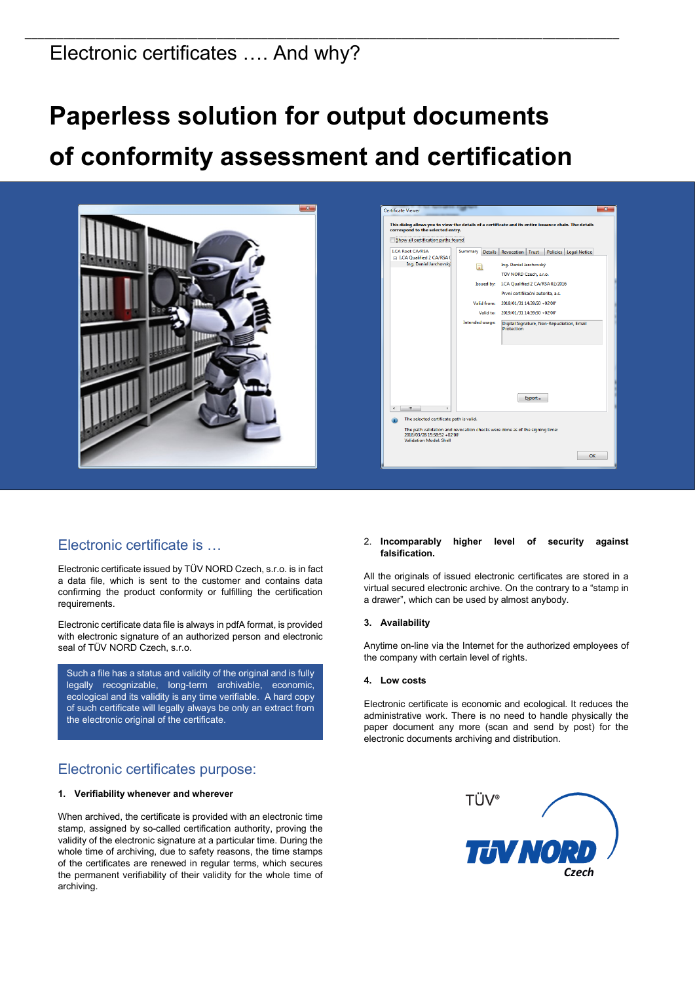## Electronic certificates …. And why?

# **Paperless solution for output documents of conformity assessment and certification**

\_\_\_\_\_\_\_\_\_\_\_\_\_\_\_\_\_\_\_\_\_\_\_\_\_\_\_\_\_\_\_\_\_\_\_\_\_\_\_\_\_\_\_\_\_\_\_\_\_\_\_\_\_\_\_\_\_\_\_\_\_\_\_\_\_\_\_\_\_\_\_\_\_\_\_\_\_\_\_\_\_\_\_\_\_\_\_\_\_\_\_\_\_



## Electronic certificate is …

Electronic certificate issued by TÜV NORD Czech, s.r.o. is in fact a data file, which is sent to the customer and contains data confirming the product conformity or fulfilling the certification requirements.

Electronic certificate data file is always in pdfA format, is provided with electronic signature of an authorized person and electronic seal of TÜV NORD Czech, s.r.o.

Such a file has a status and validity of the original and is fully legally recognizable, long-term archivable, economic, ecological and its validity is any time verifiable. A hard copy of such certificate will legally always be only an extract from the electronic original of the certificate.

## Electronic certificates purpose:

#### **1. Verifiability whenever and wherever**

When archived, the certificate is provided with an electronic time stamp, assigned by so-called certification authority, proving the validity of the electronic signature at a particular time. During the whole time of archiving, due to safety reasons, the time stamps of the certificates are renewed in regular terms, which secures the permanent verifiability of their validity for the whole time of archiving.

#### 2. **Incomparably higher level of security against falsification.**

All the originals of issued electronic certificates are stored in a virtual secured electronic archive. On the contrary to a "stamp in a drawer", which can be used by almost anybody.

#### **3. Availability**

Anytime on-line via the Internet for the authorized employees of the company with certain level of rights.

#### **4. Low costs**

Electronic certificate is economic and ecological. It reduces the administrative work. There is no need to handle physically the paper document any more (scan and send by post) for the electronic documents archiving and distribution.